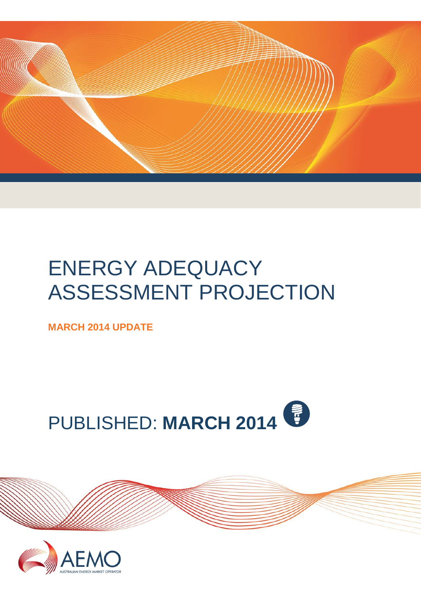

# ENERGY ADEQUACY ASSESSMENT PROJECTION

**MARCH 2014 UPDATE**





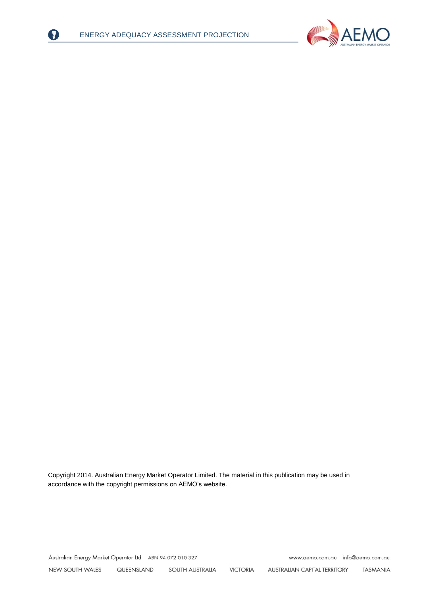

 $|? \rangle$ 



Copyright 2014. Australian Energy Market Operator Limited. The material in this publication may be used in accordance with th[e copyright permissions](http://www.aemo.com.au/en/About-AEMO/Copyright-Permissions) on AEMO's website.

Australian Energy Market Operator Ltd ABN 94 072 010 327

<span id="page-1-0"></span>www.aemo.com.au info@aemo.com.au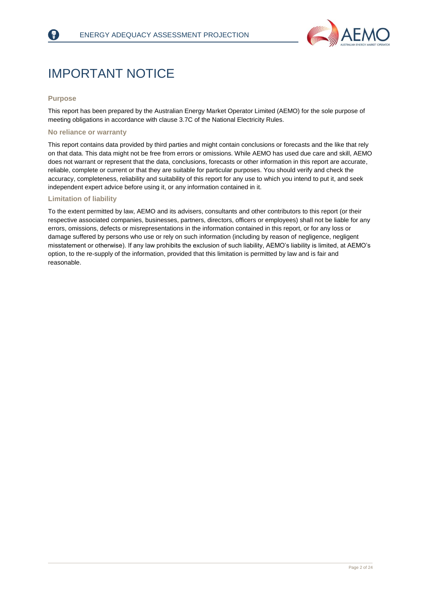

# IMPORTANT NOTICE

#### **Purpose**

This report has been prepared by the Australian Energy Market Operator Limited (AEMO) for the sole purpose of meeting obligations in accordance with clause 3.7C of the National Electricity Rules.

#### **No reliance or warranty**

This report contains data provided by third parties and might contain conclusions or forecasts and the like that rely on that data. This data might not be free from errors or omissions. While AEMO has used due care and skill, AEMO does not warrant or represent that the data, conclusions, forecasts or other information in this report are accurate, reliable, complete or current or that they are suitable for particular purposes. You should verify and check the accuracy, completeness, reliability and suitability of this report for any use to which you intend to put it, and seek independent expert advice before using it, or any information contained in it.

#### **Limitation of liability**

To the extent permitted by law, AEMO and its advisers, consultants and other contributors to this report (or their respective associated companies, businesses, partners, directors, officers or employees) shall not be liable for any errors, omissions, defects or misrepresentations in the information contained in this report, or for any loss or damage suffered by persons who use or rely on such information (including by reason of negligence, negligent misstatement or otherwise). If any law prohibits the exclusion of such liability, AEMO's liability is limited, at AEMO's option, to the re-supply of the information, provided that this limitation is permitted by law and is fair and reasonable.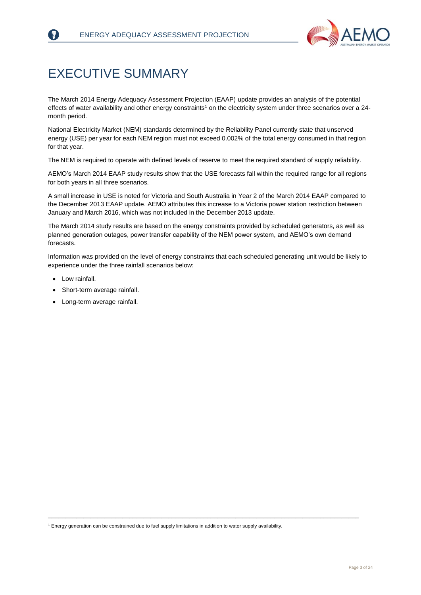

# <span id="page-3-0"></span>EXECUTIVE SUMMARY

The March 2014 Energy Adequacy Assessment Projection (EAAP) update provides an analysis of the potential effects of water availability and other energy constraints<sup>1</sup> on the electricity system under three scenarios over a 24month period.

National Electricity Market (NEM) standards determined by the Reliability Panel currently state that unserved energy (USE) per year for each NEM region must not exceed 0.002% of the total energy consumed in that region for that year.

The NEM is required to operate with defined levels of reserve to meet the required standard of supply reliability.

AEMO's March 2014 EAAP study results show that the USE forecasts fall within the required range for all regions for both years in all three scenarios.

A small increase in USE is noted for Victoria and South Australia in Year 2 of the March 2014 EAAP compared to the December 2013 EAAP update. AEMO attributes this increase to a Victoria power station restriction between January and March 2016, which was not included in the December 2013 update.

The March 2014 study results are based on the energy constraints provided by scheduled generators, as well as planned generation outages, power transfer capability of the NEM power system, and AEMO's own demand forecasts.

Information was provided on the level of energy constraints that each scheduled generating unit would be likely to experience under the three rainfall scenarios below:

- Low rainfall.
- Short-term average rainfall.
- Long-term average rainfall.

<sup>1</sup> Energy generation can be constrained due to fuel supply limitations in addition to water supply availability.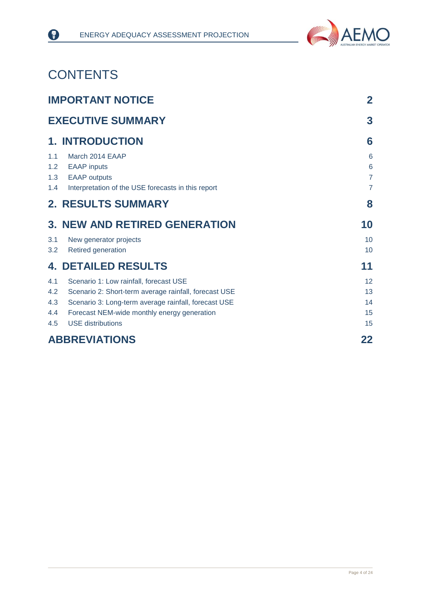

# **CONTENTS**

❸

|                                 | <b>IMPORTANT NOTICE</b>                                                                                                                                                                                                            |                                            |
|---------------------------------|------------------------------------------------------------------------------------------------------------------------------------------------------------------------------------------------------------------------------------|--------------------------------------------|
|                                 | <b>EXECUTIVE SUMMARY</b>                                                                                                                                                                                                           | 3                                          |
|                                 | <b>1. INTRODUCTION</b>                                                                                                                                                                                                             | 6                                          |
| 1.1<br>1.2<br>1.3<br>1.4        | March 2014 EAAP<br><b>EAAP</b> inputs<br><b>EAAP</b> outputs<br>Interpretation of the USE forecasts in this report                                                                                                                 | 6<br>6<br>$\overline{7}$<br>$\overline{7}$ |
|                                 | <b>2. RESULTS SUMMARY</b>                                                                                                                                                                                                          | 8                                          |
|                                 | <b>3. NEW AND RETIRED GENERATION</b>                                                                                                                                                                                               | 10                                         |
| 3.1<br>3.2                      | New generator projects<br>Retired generation                                                                                                                                                                                       | 10<br>10                                   |
|                                 | <b>4. DETAILED RESULTS</b>                                                                                                                                                                                                         | 11                                         |
| 4.1<br>4.2<br>4.3<br>4.4<br>4.5 | Scenario 1: Low rainfall, forecast USE<br>Scenario 2: Short-term average rainfall, forecast USE<br>Scenario 3: Long-term average rainfall, forecast USE<br>Forecast NEM-wide monthly energy generation<br><b>USE</b> distributions | 12<br>13<br>14<br>15<br>15                 |
|                                 | <b>ABBREVIATIONS</b>                                                                                                                                                                                                               | 22                                         |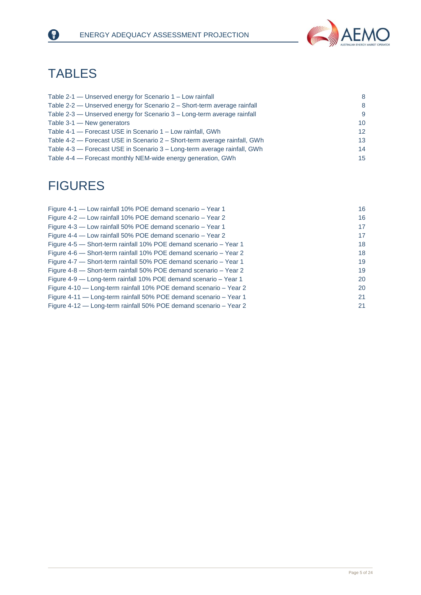

# **TABLES**

0

| Table 2-1 — Unserved energy for Scenario 1 – Low rainfall                 | 8                |
|---------------------------------------------------------------------------|------------------|
| Table 2-2 — Unserved energy for Scenario 2 – Short-term average rainfall  | 8                |
| Table 2-3 — Unserved energy for Scenario 3 – Long-term average rainfall   | 9                |
| Table 3-1 - New generators                                                | 10 <sup>1</sup>  |
| Table 4-1 - Forecast USE in Scenario 1 - Low rainfall, GWh                | 12 <sup>°</sup>  |
| Table 4-2 – Forecast USE in Scenario 2 – Short-term average rainfall, GWh | 13 <sup>°</sup>  |
| Table 4-3 — Forecast USE in Scenario 3 – Long-term average rainfall, GWh  | 14               |
| Table 4-4 – Forecast monthly NEM-wide energy generation, GWh              | 15 <sup>15</sup> |

# FIGURES

| Figure 4-1 - Low rainfall 10% POE demand scenario - Year 1        | 16 |
|-------------------------------------------------------------------|----|
| Figure 4-2 — Low rainfall 10% POE demand scenario – Year 2        | 16 |
| Figure 4-3 - Low rainfall 50% POE demand scenario - Year 1        | 17 |
| Figure 4-4 – Low rainfall 50% POE demand scenario – Year 2        | 17 |
| Figure 4-5 – Short-term rainfall 10% POE demand scenario – Year 1 | 18 |
| Figure 4-6 – Short-term rainfall 10% POE demand scenario – Year 2 | 18 |
| Figure 4-7 – Short-term rainfall 50% POE demand scenario – Year 1 | 19 |
| Figure 4-8 - Short-term rainfall 50% POE demand scenario - Year 2 | 19 |
| Figure 4-9 - Long-term rainfall 10% POE demand scenario - Year 1  | 20 |
| Figure 4-10 - Long-term rainfall 10% POE demand scenario - Year 2 | 20 |
| Figure 4-11 - Long-term rainfall 50% POE demand scenario - Year 1 | 21 |
| Figure 4-12 – Long-term rainfall 50% POE demand scenario – Year 2 | 21 |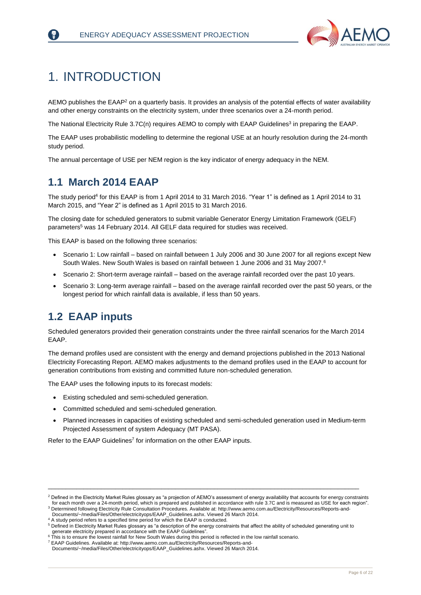

# <span id="page-6-0"></span>1. INTRODUCTION

AEMO publishes the EAAP<sup>2</sup> on a quarterly basis. It provides an analysis of the potential effects of water availability and other energy constraints on the electricity system, under three scenarios over a 24-month period.

The National Electricity Rule 3.7C(n) requires AEMO to comply with EAAP Guidelines<sup>3</sup> in preparing the EAAP.

The EAAP uses probabilistic modelling to determine the regional USE at an hourly resolution during the 24-month study period.

The annual percentage of USE per NEM region is the key indicator of energy adequacy in the NEM.

### <span id="page-6-1"></span>**1.1 March 2014 EAAP**

The study period<sup>4</sup> for this EAAP is from 1 April 2014 to 31 March 2016. "Year 1" is defined as 1 April 2014 to 31 March 2015, and "Year 2" is defined as 1 April 2015 to 31 March 2016.

The closing date for scheduled generators to submit variable Generator Energy Limitation Framework (GELF) parameters<sup>5</sup> was 14 February 2014. All GELF data required for studies was received.

This EAAP is based on the following three scenarios:

- Scenario 1: Low rainfall based on rainfall between 1 July 2006 and 30 June 2007 for all regions except New South Wales. New South Wales is based on rainfall between 1 June 2006 and 31 May 2007.<sup>6</sup>
- Scenario 2: Short-term average rainfall based on the average rainfall recorded over the past 10 years.
- Scenario 3: Long-term average rainfall based on the average rainfall recorded over the past 50 years, or the longest period for which rainfall data is available, if less than 50 years.

### <span id="page-6-2"></span>**1.2 EAAP inputs**

Scheduled generators provided their generation constraints under the three rainfall scenarios for the March 2014 EAAP.

The demand profiles used are consistent with the energy and demand projections published in the 2013 National Electricity Forecasting Report. AEMO makes adjustments to the demand profiles used in the EAAP to account for generation contributions from existing and committed future non-scheduled generation.

The EAAP uses the following inputs to its forecast models:

- Existing scheduled and semi-scheduled generation.
- Committed scheduled and semi-scheduled generation.
- Planned increases in capacities of existing scheduled and semi-scheduled generation used in Medium-term Projected Assessment of system Adequacy (MT PASA).

Refer to the EAAP Guidelines<sup>7</sup> for information on the other EAAP inputs.

<sup>&</sup>lt;sup>2</sup> Defined in the Electricity Market Rules glossary as "a projection of AEMO's assessment of energy availability that accounts for energy constraints for each month over a 24-month period, which is prepared and published in accordance with rule 3.7C and is measured as USE for each region".

<sup>3</sup> Determined following Electricity Rule Consultation Procedures. Available at[: http://www.aemo.com.au/Electricity/Resources/Reports-and-](http://www.aemo.com.au/Electricity/Resources/Reports-and-Documents/~/media/Files/Other/electricityops/EAAP_Guidelines.ashx)[Documents/~/media/Files/Other/electricityops/EAAP\\_Guidelines.ashx.](http://www.aemo.com.au/Electricity/Resources/Reports-and-Documents/~/media/Files/Other/electricityops/EAAP_Guidelines.ashx) Viewed 26 March 2014.

 $4$  A study period refers to a specified time period for which the EAAP is conducted

<sup>5</sup> Defined in Electricity Market Rules glossary as "a description of the energy constraints that affect the ability of scheduled generating unit to generate electricity prepared in accordance with the EAAP Guidelines".

<sup>&</sup>lt;sup>6</sup> This is to ensure the lowest rainfall for New South Wales during this period is reflected in the low rainfall scenario.

<sup>7</sup> EAAP Guidelines. Available at[: http://www.aemo.com.au/Electricity/Resources/Reports-and-](http://www.aemo.com.au/Electricity/Resources/Reports-and-Documents/~/media/Files/Other/electricityops/EAAP_Guidelines.ashx)[Documents/~/media/Files/Other/electricityops/EAAP\\_Guidelines.ashx.](http://www.aemo.com.au/Electricity/Resources/Reports-and-Documents/~/media/Files/Other/electricityops/EAAP_Guidelines.ashx) Viewed 26 March 2014.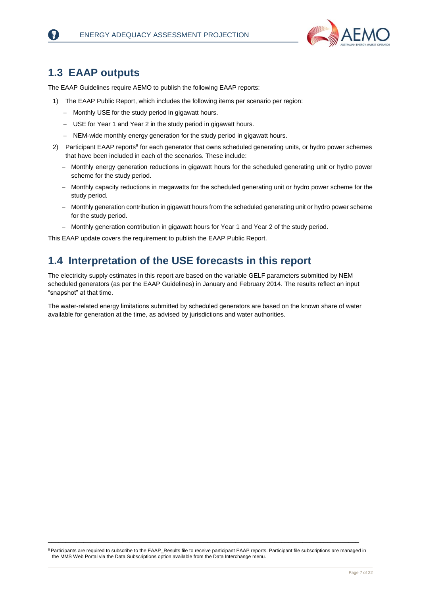

### <span id="page-7-0"></span>**1.3 EAAP outputs**

The EAAP Guidelines require AEMO to publish the following EAAP reports:

- 1) The EAAP Public Report, which includes the following items per scenario per region:
	- Monthly USE for the study period in gigawatt hours.
	- USE for Year 1 and Year 2 in the study period in gigawatt hours.
	- NEM-wide monthly energy generation for the study period in gigawatt hours.
- 2) Participant EAAP reports<sup>8</sup> for each generator that owns scheduled generating units, or hydro power schemes that have been included in each of the scenarios. These include:
	- Monthly energy generation reductions in gigawatt hours for the scheduled generating unit or hydro power scheme for the study period.
	- Monthly capacity reductions in megawatts for the scheduled generating unit or hydro power scheme for the study period.
	- Monthly generation contribution in gigawatt hours from the scheduled generating unit or hydro power scheme for the study period.
	- Monthly generation contribution in gigawatt hours for Year 1 and Year 2 of the study period.

This EAAP update covers the requirement to publish the EAAP Public Report.

### <span id="page-7-1"></span>**1.4 Interpretation of the USE forecasts in this report**

The electricity supply estimates in this report are based on the variable GELF parameters submitted by NEM scheduled generators (as per the EAAP Guidelines) in January and February 2014. The results reflect an input "snapshot" at that time.

The water-related energy limitations submitted by scheduled generators are based on the known share of water available for generation at the time, as advised by jurisdictions and water authorities.

<sup>8</sup> Participants are required to subscribe to the EAAP\_Results file to receive participant EAAP reports. Participant file subscriptions are managed in the MMS Web Portal via the Data Subscriptions option available from the Data Interchange menu.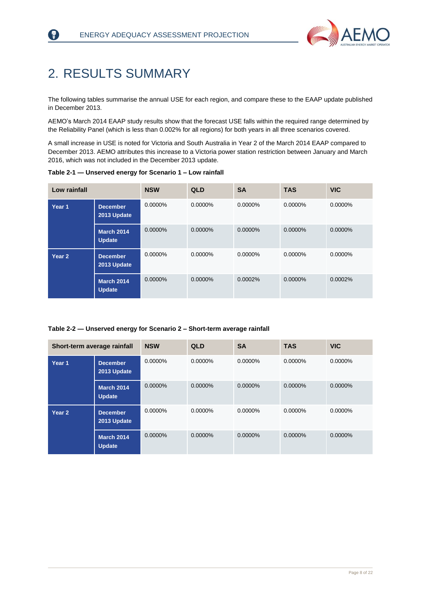

# <span id="page-8-0"></span>2. RESULTS SUMMARY

₹)

The following tables summarise the annual USE for each region, and compare these to the EAAP update published in December 2013.

AEMO's March 2014 EAAP study results show that the forecast USE falls within the required range determined by the Reliability Panel (which is less than 0.002% for all regions) for both years in all three scenarios covered.

A small increase in USE is noted for Victoria and South Australia in Year 2 of the March 2014 EAAP compared to December 2013. AEMO attributes this increase to a Victoria power station restriction between January and March 2016, which was not included in the December 2013 update.

| Low rainfall      |                                    | <b>NSW</b> | <b>QLD</b> | <b>SA</b> | <b>TAS</b> | <b>VIC</b> |
|-------------------|------------------------------------|------------|------------|-----------|------------|------------|
| Year 1            | <b>December</b><br>2013 Update     | $0.0000\%$ | $0.0000\%$ | 0.0000%   | $0.0000\%$ | 0.0000%    |
|                   | <b>March 2014</b><br><b>Update</b> | $0.0000\%$ | 0.0000%    | 0.0000%   | 0.0000%    | 0.0000%    |
| Year <sub>2</sub> | <b>December</b><br>2013 Update     | $0.0000\%$ | 0.0000%    | 0.0000%   | 0.0000%    | 0.0000%    |
|                   | <b>March 2014</b><br><b>Update</b> | 0.0000%    | 0.0000%    | 0.0002%   | 0.0000%    | 0.0002%    |

<span id="page-8-1"></span>**Table 2-1 — Unserved energy for Scenario 1 – Low rainfall**

#### <span id="page-8-2"></span>**Table 2-2 — Unserved energy for Scenario 2 – Short-term average rainfall**

| Short-term average rainfall |                                    | <b>NSW</b> | <b>QLD</b> | <b>SA</b> | <b>TAS</b> | <b>VIC</b> |
|-----------------------------|------------------------------------|------------|------------|-----------|------------|------------|
| Year 1                      | <b>December</b><br>2013 Update     | 0.0000%    | 0.0000%    | 0.0000%   | 0.0000%    | 0.0000%    |
|                             | <b>March 2014</b><br><b>Update</b> | 0.0000%    | $0.0000\%$ | 0.0000%   | 0.0000%    | 0.0000%    |
| Year <sub>2</sub>           | <b>December</b><br>2013 Update     | $0.0000\%$ | $0.0000\%$ | 0.0000%   | 0.0000%    | 0.0000%    |
|                             | <b>March 2014</b><br><b>Update</b> | 0.0000%    | $0.0000\%$ | 0.0000%   | 0.0000%    | $0.0000\%$ |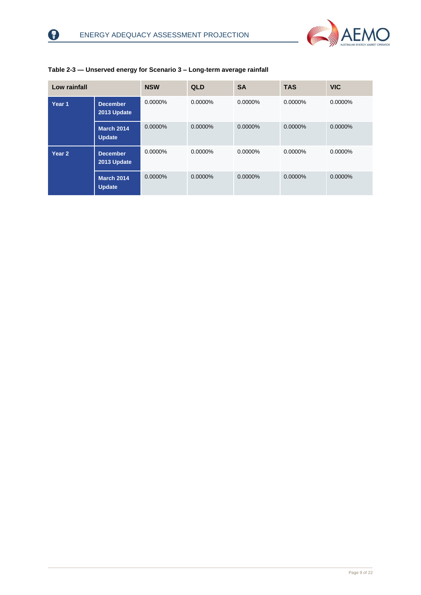8



| Low rainfall |                                    | <b>NSW</b> | <b>QLD</b> | <b>SA</b> | <b>TAS</b> | <b>VIC</b> |
|--------------|------------------------------------|------------|------------|-----------|------------|------------|
| Year 1       | <b>December</b><br>2013 Update     | 0.0000%    | 0.0000%    | 0.0000%   | 0.0000%    | 0.0000%    |
|              | <b>March 2014</b><br><b>Update</b> | 0.0000%    | 0.0000%    | 0.0000%   | 0.0000%    | 0.0000%    |
| Year 2       | <b>December</b><br>2013 Update     | 0.0000%    | 0.0000%    | 0.0000%   | 0.0000%    | 0.0000%    |
|              | <b>March 2014</b><br><b>Update</b> | 0.0000%    | 0.0000%    | 0.0000%   | 0.0000%    | 0.0000%    |

#### <span id="page-9-0"></span>**Table 2-3 — Unserved energy for Scenario 3 – Long-term average rainfall**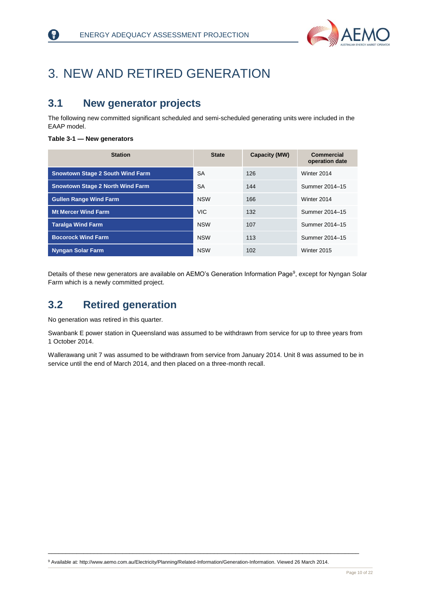

# <span id="page-10-0"></span>3. NEW AND RETIRED GENERATION

### <span id="page-10-1"></span>**3.1 New generator projects**

The following new committed significant scheduled and semi-scheduled generating units were included in the EAAP model.

#### <span id="page-10-3"></span>**Table 3-1 — New generators**

₹)

| <b>Station</b>                          | <b>State</b> | Capacity (MW) | <b>Commercial</b><br>operation date |
|-----------------------------------------|--------------|---------------|-------------------------------------|
| <b>Snowtown Stage 2 South Wind Farm</b> | <b>SA</b>    | 126           | Winter 2014                         |
| <b>Snowtown Stage 2 North Wind Farm</b> | <b>SA</b>    | 144           | Summer 2014-15                      |
| <b>Gullen Range Wind Farm</b>           | <b>NSW</b>   | 166           | Winter 2014                         |
| <b>Mt Mercer Wind Farm</b>              | <b>VIC</b>   | 132           | Summer 2014-15                      |
| <b>Taralga Wind Farm</b>                | <b>NSW</b>   | 107           | Summer 2014-15                      |
| <b>Bocorock Wind Farm</b>               | <b>NSW</b>   | 113           | Summer 2014-15                      |
| <b>Nyngan Solar Farm</b>                | <b>NSW</b>   | 102           | Winter 2015                         |

Details of these new generators are available on AEMO's Generation Information Page<sup>9</sup>, except for Nyngan Solar Farm which is a newly committed project.

### <span id="page-10-2"></span>**3.2 Retired generation**

No generation was retired in this quarter.

Swanbank E power station in Queensland was assumed to be withdrawn from service for up to three years from 1 October 2014.

Wallerawang unit 7 was assumed to be withdrawn from service from January 2014. Unit 8 was assumed to be in service until the end of March 2014, and then placed on a three-month recall.

<sup>9</sup> Available at[: http://www.aemo.com.au/Electricity/Planning/Related-Information/Generation-Information.](http://www.aemo.com.au/Electricity/Planning/Related-Information/Generation-Information) Viewed 26 March 2014.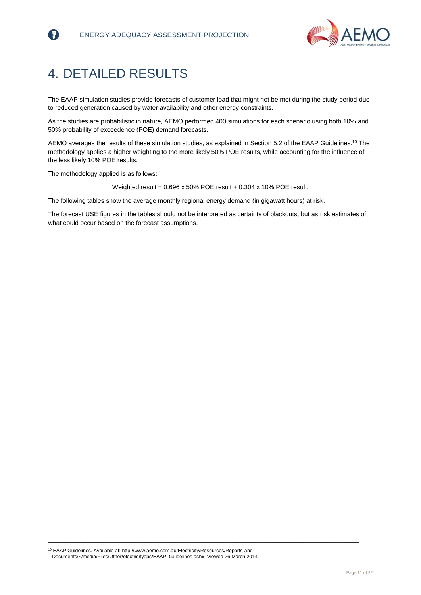

# <span id="page-11-0"></span>4. DETAILED RESULTS

F)

The EAAP simulation studies provide forecasts of customer load that might not be met during the study period due to reduced generation caused by water availability and other energy constraints.

As the studies are probabilistic in nature, AEMO performed 400 simulations for each scenario using both 10% and 50% probability of exceedence (POE) demand forecasts.

AEMO averages the results of these simulation studies, as explained in Section 5.2 of the EAAP Guidelines. <sup>10</sup> The methodology applies a higher weighting to the more likely 50% POE results, while accounting for the influence of the less likely 10% POE results.

The methodology applied is as follows:

Weighted result = 0.696 x 50% POE result + 0.304 x 10% POE result.

The following tables show the average monthly regional energy demand (in gigawatt hours) at risk.

The forecast USE figures in the tables should not be interpreted as certainty of blackouts, but as risk estimates of what could occur based on the forecast assumptions.

<sup>10</sup> EAAP Guidelines. Available at[: http://www.aemo.com.au/Electricity/Resources/Reports-and-](http://www.aemo.com.au/Electricity/Resources/Reports-and-Documents/~/media/Files/Other/electricityops/EAAP_Guidelines.ashx)[Documents/~/media/Files/Other/electricityops/EAAP\\_Guidelines.ashx.](http://www.aemo.com.au/Electricity/Resources/Reports-and-Documents/~/media/Files/Other/electricityops/EAAP_Guidelines.ashx) Viewed 26 March 2014.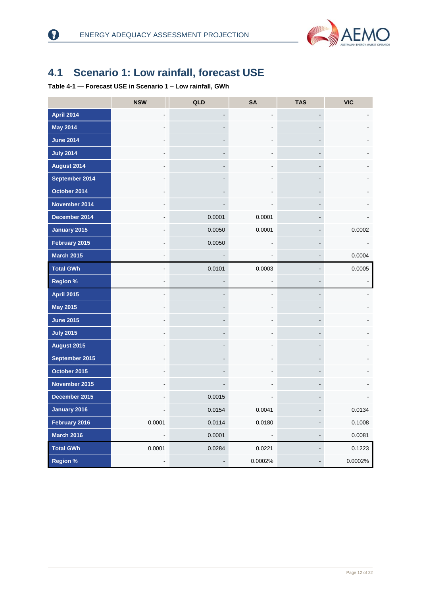

### <span id="page-12-0"></span>**4.1 Scenario 1: Low rainfall, forecast USE**

<span id="page-12-1"></span>**Table 4-1 — Forecast USE in Scenario 1 – Low rainfall, GWh**

|                   | <b>NSW</b>               | QLD                      | <b>SA</b>                | <b>TAS</b>                   | <b>VIC</b> |
|-------------------|--------------------------|--------------------------|--------------------------|------------------------------|------------|
| <b>April 2014</b> |                          |                          |                          | $\qquad \qquad \blacksquare$ |            |
| <b>May 2014</b>   |                          |                          |                          | $\overline{\phantom{a}}$     |            |
| <b>June 2014</b>  |                          | ٠                        |                          | $\overline{\phantom{a}}$     |            |
| <b>July 2014</b>  |                          |                          |                          | $\overline{\phantom{a}}$     |            |
| August 2014       |                          | ٠                        |                          | $\overline{\phantom{a}}$     |            |
| September 2014    |                          |                          |                          | $\overline{\phantom{a}}$     |            |
| October 2014      |                          |                          |                          | $\qquad \qquad \blacksquare$ |            |
| November 2014     |                          |                          |                          | $\blacksquare$               |            |
| December 2014     |                          | 0.0001                   | 0.0001                   | $\overline{a}$               |            |
| January 2015      |                          | 0.0050                   | 0.0001                   | $\overline{a}$               | 0.0002     |
| February 2015     |                          | 0.0050                   |                          | $\overline{\phantom{a}}$     |            |
| <b>March 2015</b> |                          |                          |                          | $\centerdot$                 | 0.0004     |
| <b>Total GWh</b>  |                          | 0.0101                   | 0.0003                   | $\qquad \qquad \blacksquare$ | 0.0005     |
| <b>Region %</b>   |                          | $\overline{\phantom{a}}$ |                          | $\qquad \qquad \blacksquare$ | -          |
| <b>April 2015</b> |                          |                          |                          | $\overline{a}$               |            |
| <b>May 2015</b>   |                          |                          |                          |                              |            |
| <b>June 2015</b>  |                          |                          |                          |                              |            |
| <b>July 2015</b>  |                          |                          |                          |                              |            |
| August 2015       |                          |                          |                          |                              |            |
| September 2015    |                          |                          |                          |                              |            |
| October 2015      |                          |                          |                          |                              |            |
| November 2015     |                          |                          |                          |                              |            |
| December 2015     |                          | 0.0015                   |                          |                              |            |
| January 2016      |                          | 0.0154                   | 0.0041                   |                              | 0.0134     |
| February 2016     | 0.0001                   | 0.0114                   | 0.0180                   | -                            | 0.1008     |
| <b>March 2016</b> | $\overline{\phantom{a}}$ | 0.0001                   | $\overline{\phantom{a}}$ | -                            | 0.0081     |
| <b>Total GWh</b>  | 0.0001                   | 0.0284                   | 0.0221                   | -                            | 0.1223     |
| <b>Region %</b>   | $\overline{\phantom{a}}$ | $\overline{\phantom{a}}$ | 0.0002%                  | $\overline{\phantom{a}}$     | 0.0002%    |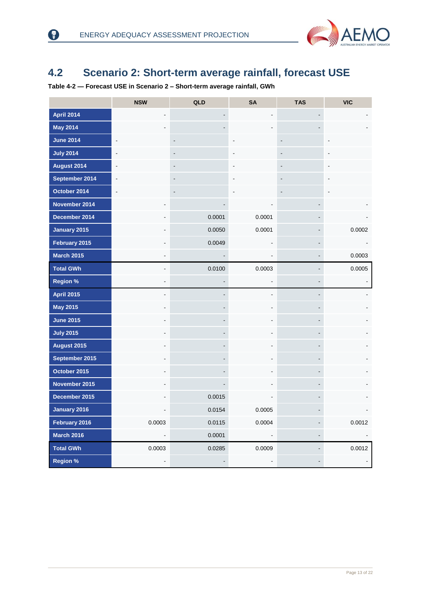0



### <span id="page-13-0"></span>**4.2 Scenario 2: Short-term average rainfall, forecast USE**

<span id="page-13-1"></span>**Table 4-2 — Forecast USE in Scenario 2 – Short-term average rainfall, GWh**

|                   | <b>NSW</b>     | QLD                          | <b>SA</b> | <b>TAS</b>               | <b>VIC</b>               |
|-------------------|----------------|------------------------------|-----------|--------------------------|--------------------------|
| <b>April 2014</b> |                |                              |           | -                        |                          |
| <b>May 2014</b>   |                |                              |           |                          |                          |
| <b>June 2014</b>  | ä,             | $\qquad \qquad \blacksquare$ |           | $\overline{\phantom{a}}$ |                          |
| <b>July 2014</b>  |                | $\qquad \qquad \blacksquare$ |           |                          |                          |
| August 2014       | $\blacksquare$ | $\qquad \qquad \blacksquare$ |           |                          |                          |
| September 2014    | $\blacksquare$ | $\qquad \qquad \blacksquare$ |           | $\overline{\phantom{a}}$ |                          |
| October 2014      | $\blacksquare$ | $\overline{\phantom{a}}$     |           | ٠                        |                          |
| November 2014     |                |                              |           |                          |                          |
| December 2014     |                | 0.0001                       | 0.0001    |                          |                          |
| January 2015      |                | 0.0050                       | 0.0001    |                          | 0.0002                   |
| February 2015     |                | 0.0049                       |           | $\overline{\phantom{0}}$ |                          |
| <b>March 2015</b> |                |                              |           | $\overline{\phantom{a}}$ | 0.0003                   |
| <b>Total GWh</b>  |                | 0.0100                       | 0.0003    | $\overline{\phantom{0}}$ | 0.0005                   |
| <b>Region %</b>   |                |                              |           | $\overline{\phantom{0}}$ | $\overline{\phantom{a}}$ |
| <b>April 2015</b> |                |                              |           | -                        |                          |
| <b>May 2015</b>   |                |                              |           | -                        |                          |
| <b>June 2015</b>  |                |                              |           |                          |                          |
| <b>July 2015</b>  |                |                              |           | -                        |                          |
| August 2015       |                |                              |           |                          |                          |
| September 2015    |                |                              |           | -                        |                          |
| October 2015      |                |                              |           | -                        |                          |
| November 2015     |                |                              |           | $\overline{\phantom{0}}$ |                          |
| December 2015     |                | 0.0015                       |           |                          |                          |
| January 2016      |                | 0.0154                       | 0.0005    |                          |                          |
| February 2016     | 0.0003         | 0.0115                       | 0.0004    |                          | 0.0012                   |
| <b>March 2016</b> |                | 0.0001                       |           | -                        |                          |
| <b>Total GWh</b>  | 0.0003         | 0.0285                       | 0.0009    | $\overline{\phantom{0}}$ | 0.0012                   |
| <b>Region %</b>   |                |                              |           |                          |                          |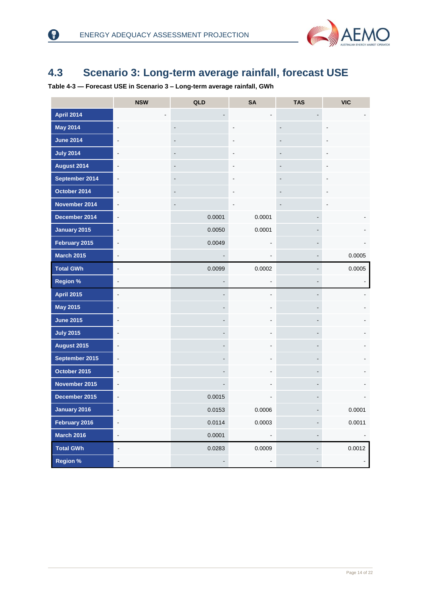0



### <span id="page-14-0"></span>**4.3 Scenario 3: Long-term average rainfall, forecast USE**

<span id="page-14-1"></span>**Table 4-3 — Forecast USE in Scenario 3 – Long-term average rainfall, GWh**

|                   | <b>NSW</b>                   | QLD                          | <b>SA</b>      | <b>TAS</b>                   | <b>VIC</b>     |
|-------------------|------------------------------|------------------------------|----------------|------------------------------|----------------|
| <b>April 2014</b> |                              |                              |                |                              |                |
| <b>May 2014</b>   | $\overline{\phantom{a}}$     | $\overline{\phantom{a}}$     |                | $\centerdot$                 |                |
| <b>June 2014</b>  |                              | $\overline{\phantom{a}}$     |                | $\overline{a}$               |                |
| <b>July 2014</b>  | ä,                           | $\qquad \qquad \blacksquare$ |                | $\qquad \qquad \blacksquare$ |                |
| August 2014       | ä,                           | $\overline{\phantom{a}}$     |                | $\qquad \qquad \blacksquare$ |                |
| September 2014    | $\blacksquare$               | $\overline{\phantom{a}}$     |                | $\qquad \qquad \blacksquare$ |                |
| October 2014      | $\blacksquare$               | $\qquad \qquad \blacksquare$ |                | $\overline{\phantom{a}}$     |                |
| November 2014     | $\blacksquare$               | $\qquad \qquad \blacksquare$ |                | $\qquad \qquad \blacksquare$ |                |
| December 2014     | $\overline{\phantom{a}}$     | 0.0001                       | 0.0001         | $\overline{\phantom{a}}$     |                |
| January 2015      | $\qquad \qquad \blacksquare$ | 0.0050                       | 0.0001         | $\overline{\phantom{a}}$     |                |
| February 2015     | $\blacksquare$               | 0.0049                       |                | $\qquad \qquad \blacksquare$ |                |
| <b>March 2015</b> | $\blacksquare$               |                              |                | $\blacksquare$               | 0.0005         |
| <b>Total GWh</b>  | $\overline{\phantom{a}}$     | 0.0099                       | 0.0002         | $\qquad \qquad \blacksquare$ | 0.0005         |
| <b>Region %</b>   | $\overline{\phantom{a}}$     |                              |                | $\blacksquare$               | $\blacksquare$ |
| <b>April 2015</b> | $\overline{\phantom{a}}$     | ٠                            |                | $\qquad \qquad \blacksquare$ |                |
| <b>May 2015</b>   | $\blacksquare$               |                              |                | $\qquad \qquad \blacksquare$ |                |
| <b>June 2015</b>  |                              | $\overline{a}$               |                | $\qquad \qquad \blacksquare$ |                |
| <b>July 2015</b>  |                              | -                            |                | $\qquad \qquad \blacksquare$ |                |
| August 2015       |                              | $\overline{a}$               |                | $\qquad \qquad \blacksquare$ |                |
| September 2015    | $\overline{\phantom{a}}$     |                              | $\blacksquare$ | $\blacksquare$               |                |
| October 2015      |                              | $\overline{a}$               |                | $\qquad \qquad \blacksquare$ |                |
| November 2015     | $\blacksquare$               |                              | Ĭ.             | $\overline{\phantom{a}}$     |                |
| December 2015     | $\overline{a}$               | 0.0015                       |                |                              |                |
| January 2016      |                              | 0.0153                       | 0.0006         |                              | 0.0001         |
| February 2016     | $\qquad \qquad \blacksquare$ | 0.0114                       | 0.0003         | $\qquad \qquad \blacksquare$ | 0.0011         |
| <b>March 2016</b> | $\frac{1}{2}$                | 0.0001                       |                | $\overline{\phantom{a}}$     |                |
| <b>Total GWh</b>  | -                            | 0.0283                       | 0.0009         | $\qquad \qquad \blacksquare$ | 0.0012         |
| <b>Region %</b>   | $\qquad \qquad \blacksquare$ |                              | ۰              | $\overline{\phantom{m}}$     | ۳.             |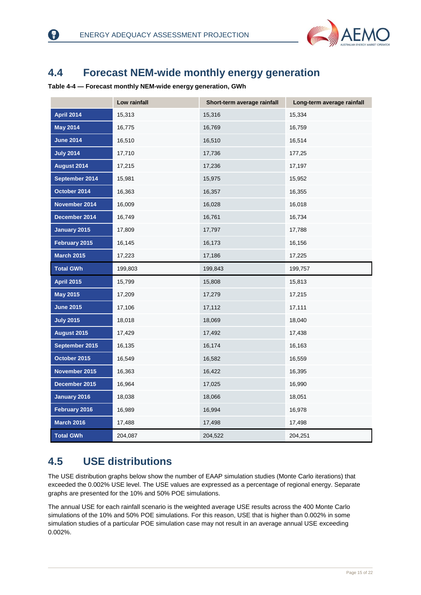

### <span id="page-15-0"></span>**4.4 Forecast NEM-wide monthly energy generation**

<span id="page-15-2"></span>**Table 4-4 — Forecast monthly NEM-wide energy generation, GWh**

3

|                    | Low rainfall | Short-term average rainfall | Long-term average rainfall |
|--------------------|--------------|-----------------------------|----------------------------|
| <b>April 2014</b>  | 15,313       | 15,316                      | 15,334                     |
| <b>May 2014</b>    | 16,775       | 16,769                      | 16,759                     |
| <b>June 2014</b>   | 16,510       | 16,510                      | 16,514                     |
| <b>July 2014</b>   | 17,710       | 17,736                      | 177,25                     |
| August 2014        | 17,215       | 17,236                      | 17,197                     |
| September 2014     | 15,981       | 15,975                      | 15,952                     |
| October 2014       | 16,363       | 16,357                      | 16,355                     |
| November 2014      | 16,009       | 16,028                      | 16,018                     |
| December 2014      | 16,749       | 16,761                      | 16,734                     |
| January 2015       | 17,809       | 17,797                      | 17,788                     |
| February 2015      | 16,145       | 16,173                      | 16,156                     |
| <b>March 2015</b>  | 17,223       | 17,186                      | 17,225                     |
| <b>Total GWh</b>   | 199,803      | 199,843                     | 199,757                    |
| <b>April 2015</b>  | 15,799       | 15,808                      | 15,813                     |
| <b>May 2015</b>    | 17,209       | 17,279                      | 17,215                     |
| <b>June 2015</b>   | 17,106       | 17,112                      | 17,111                     |
| <b>July 2015</b>   | 18,018       | 18,069                      | 18,040                     |
| <b>August 2015</b> | 17,429       | 17,492                      | 17,438                     |
| September 2015     | 16,135       | 16,174                      | 16,163                     |
| October 2015       | 16,549       | 16,582                      | 16,559                     |
| November 2015      | 16,363       | 16,422                      | 16,395                     |
| December 2015      | 16,964       | 17,025                      | 16,990                     |
| January 2016       | 18,038       | 18,066                      | 18,051                     |
| February 2016      | 16,989       | 16,994                      | 16,978                     |
| <b>March 2016</b>  | 17,488       | 17,498                      | 17,498                     |
| <b>Total GWh</b>   | 204,087      | 204,522                     | 204,251                    |

### <span id="page-15-1"></span>**4.5 USE distributions**

The USE distribution graphs below show the number of EAAP simulation studies (Monte Carlo iterations) that exceeded the 0.002% USE level. The USE values are expressed as a percentage of regional energy. Separate graphs are presented for the 10% and 50% POE simulations.

The annual USE for each rainfall scenario is the weighted average USE results across the 400 Monte Carlo simulations of the 10% and 50% POE simulations. For this reason, USE that is higher than 0.002% in some simulation studies of a particular POE simulation case may not result in an average annual USE exceeding 0.002%.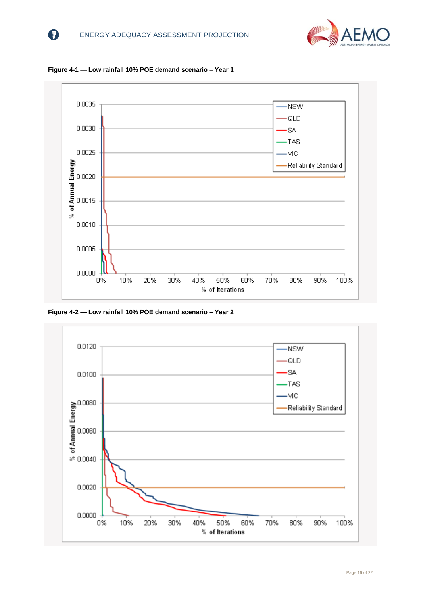



<span id="page-16-0"></span>**Figure 4-1 — Low rainfall 10% POE demand scenario – Year 1**

<span id="page-16-1"></span>**Figure 4-2 — Low rainfall 10% POE demand scenario – Year 2**

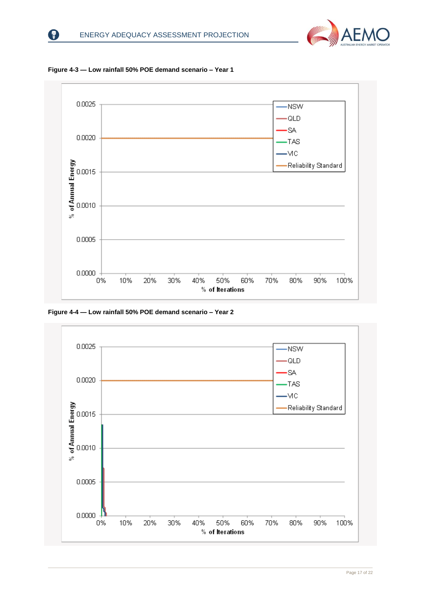

<span id="page-17-0"></span>



<span id="page-17-1"></span>**Figure 4-4 — Low rainfall 50% POE demand scenario – Year 2**

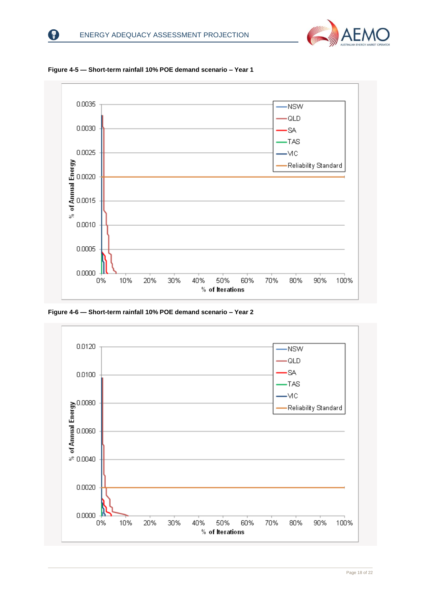



<span id="page-18-0"></span>**Figure 4-5 — Short-term rainfall 10% POE demand scenario – Year 1**

<span id="page-18-1"></span>**Figure 4-6 — Short-term rainfall 10% POE demand scenario – Year 2**

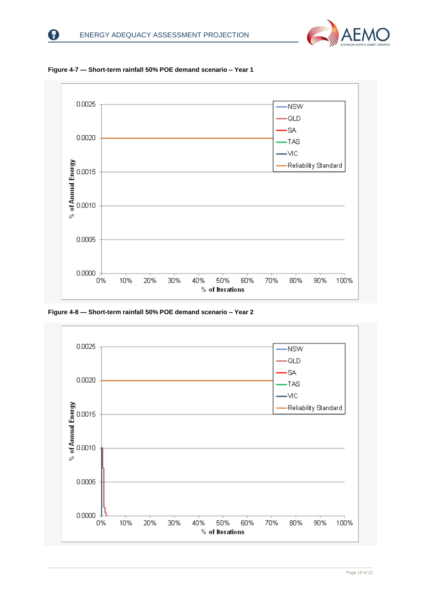



<span id="page-19-0"></span>**Figure 4-7 — Short-term rainfall 50% POE demand scenario – Year 1**

<span id="page-19-1"></span>**Figure 4-8 — Short-term rainfall 50% POE demand scenario – Year 2**

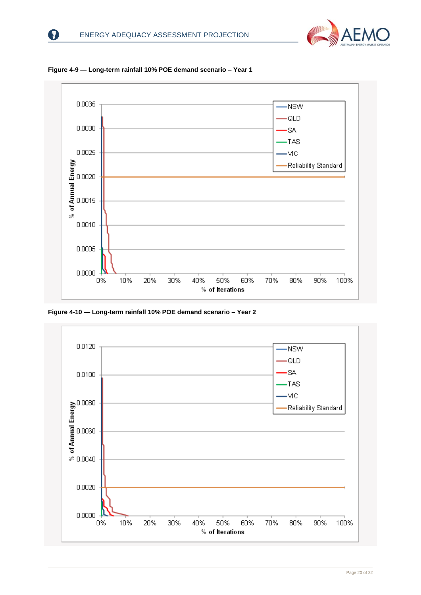



<span id="page-20-0"></span>**Figure 4-9 — Long-term rainfall 10% POE demand scenario – Year 1**

<span id="page-20-1"></span>**Figure 4-10 — Long-term rainfall 10% POE demand scenario – Year 2**

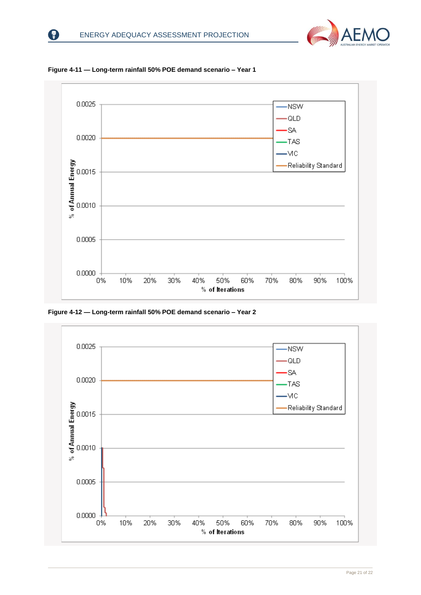



<span id="page-21-0"></span>**Figure 4-11 — Long-term rainfall 50% POE demand scenario – Year 1**

<span id="page-21-1"></span>**Figure 4-12 — Long-term rainfall 50% POE demand scenario – Year 2**